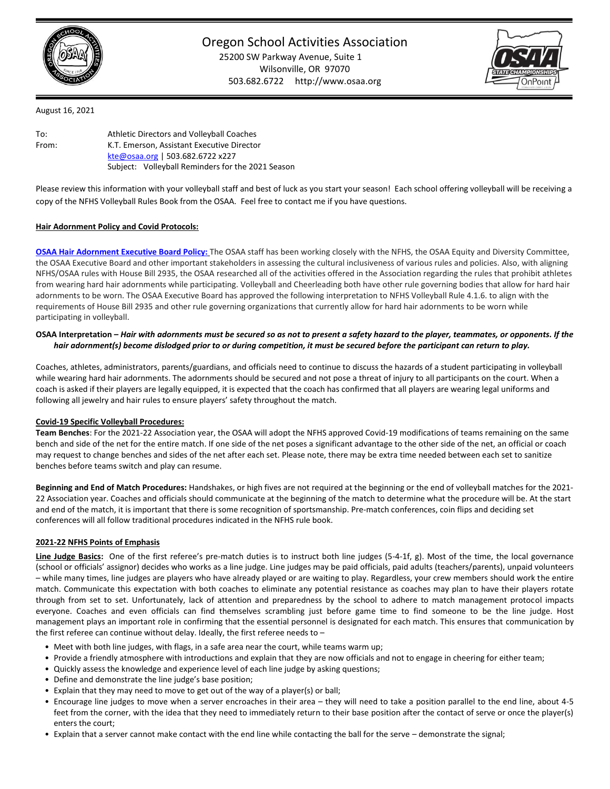

Oregon School Activities Association 25200 SW Parkway Avenue, Suite 1 Wilsonville, OR 97070 503.682.6722 http://www.osaa.org



August 16, 2021

| To:   | Athletic Directors and Volleyball Coaches         |
|-------|---------------------------------------------------|
| From: | K.T. Emerson, Assistant Executive Director        |
|       | kte@osaa.org   503.682.6722 x227                  |
|       | Subject: Volleyball Reminders for the 2021 Season |

Please review this information with your volleyball staff and best of luck as you start your season! Each school offering volleyball will be receiving a copy of the NFHS Volleyball Rules Book from the OSAA. Feel free to contact me if you have questions.

### **Hair Adornment Policy and Covid Protocols:**

**OSAA Hair Adornment [Executive Board Policy:](https://www.osaa.org/docs/handbooks/HairAdornmentBP.pdf)** The OSAA staff has been working closely with the NFHS, the OSAA Equity and Diversity Committee, the OSAA Executive Board and other important stakeholders in assessing the cultural inclusiveness of various rules and policies. Also, with aligning NFHS/OSAA rules with House Bill 2935, the OSAA researched all of the activities offered in the Association regarding the rules that prohibit athletes from wearing hard hair adornments while participating. Volleyball and Cheerleading both have other rule governing bodies that allow for hard hair adornments to be worn. The OSAA Executive Board has approved the following interpretation to NFHS Volleyball Rule 4.1.6. to align with the requirements of House Bill 2935 and other rule governing organizations that currently allow for hard hair adornments to be worn while participating in volleyball.

## **OSAA Interpretation –** *Hair with adornments must be secured so as not to present a safety hazard to the player, teammates, or opponents. If the hair adornment(s) become dislodged prior to or during competition, it must be secured before the participant can return to play.*

Coaches, athletes, administrators, parents/guardians, and officials need to continue to discuss the hazards of a student participating in volleyball while wearing hard hair adornments. The adornments should be secured and not pose a threat of injury to all participants on the court. When a coach is asked if their players are legally equipped, it is expected that the coach has confirmed that all players are wearing legal uniforms and following all jewelry and hair rules to ensure players' safety throughout the match.

# **Covid-19 Specific Volleyball Procedures:**

**Team Benches**: For the 2021-22 Association year, the OSAA will adopt the NFHS approved Covid-19 modifications of teams remaining on the same bench and side of the net for the entire match. If one side of the net poses a significant advantage to the other side of the net, an official or coach may request to change benches and sides of the net after each set. Please note, there may be extra time needed between each set to sanitize benches before teams switch and play can resume.

**Beginning and End of Match Procedures:** Handshakes, or high fives are not required at the beginning or the end of volleyball matches for the 2021- 22 Association year. Coaches and officials should communicate at the beginning of the match to determine what the procedure will be. At the start and end of the match, it is important that there is some recognition of sportsmanship. Pre-match conferences, coin flips and deciding set conferences will all follow traditional procedures indicated in the NFHS rule book.

# **2021-22 NFHS Points of Emphasis**

Line Judge Basics: One of the first referee's pre-match duties is to instruct both line judges (5-4-1f, g). Most of the time, the local governance (school or officials' assignor) decides who works as a line judge. Line judges may be paid officials, paid adults (teachers/parents), unpaid volunteers – while many times, line judges are players who have already played or are waiting to play. Regardless, your crew members should work the entire match. Communicate this expectation with both coaches to eliminate any potential resistance as coaches may plan to have their players rotate through from set to set. Unfortunately, lack of attention and preparedness by the school to adhere to match management protocol impacts everyone. Coaches and even officials can find themselves scrambling just before game time to find someone to be the line judge. Host management plays an important role in confirming that the essential personnel is designated for each match. This ensures that communication by the first referee can continue without delay. Ideally, the first referee needs to –

- Meet with both line judges, with flags, in a safe area near the court, while teams warm up;
- Provide a friendly atmosphere with introductions and explain that they are now officials and not to engage in cheering for either team;
- Quickly assess the knowledge and experience level of each line judge by asking questions;
- Define and demonstrate the line judge's base position;
- Explain that they may need to move to get out of the way of a player(s) or ball;
- Encourage line judges to move when a server encroaches in their area they will need to take a position parallel to the end line, about 4-5 feet from the corner, with the idea that they need to immediately return to their base position after the contact of serve or once the player(s) enters the court;
- Explain that a server cannot make contact with the end line while contacting the ball for the serve demonstrate the signal;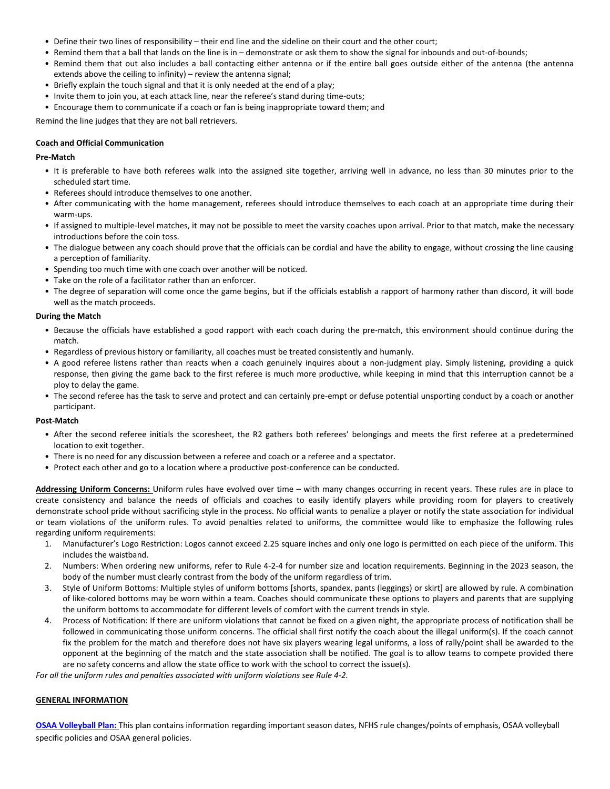- Define their two lines of responsibility their end line and the sideline on their court and the other court;
- Remind them that a ball that lands on the line is in demonstrate or ask them to show the signal for inbounds and out-of-bounds;
- Remind them that out also includes a ball contacting either antenna or if the entire ball goes outside either of the antenna (the antenna extends above the ceiling to infinity) – review the antenna signal;
- Briefly explain the touch signal and that it is only needed at the end of a play;
- Invite them to join you, at each attack line, near the referee's stand during time-outs;
- Encourage them to communicate if a coach or fan is being inappropriate toward them; and

Remind the line judges that they are not ball retrievers.

### **Coach and Official Communication**

### **Pre-Match**

- It is preferable to have both referees walk into the assigned site together, arriving well in advance, no less than 30 minutes prior to the scheduled start time.
- Referees should introduce themselves to one another.
- After communicating with the home management, referees should introduce themselves to each coach at an appropriate time during their warm-ups.
- If assigned to multiple-level matches, it may not be possible to meet the varsity coaches upon arrival. Prior to that match, make the necessary introductions before the coin toss.
- The dialogue between any coach should prove that the officials can be cordial and have the ability to engage, without crossing the line causing a perception of familiarity.
- Spending too much time with one coach over another will be noticed.
- Take on the role of a facilitator rather than an enforcer.
- The degree of separation will come once the game begins, but if the officials establish a rapport of harmony rather than discord, it will bode well as the match proceeds.

#### **During the Match**

- Because the officials have established a good rapport with each coach during the pre-match, this environment should continue during the match.
- Regardless of previous history or familiarity, all coaches must be treated consistently and humanly.
- A good referee listens rather than reacts when a coach genuinely inquires about a non-judgment play. Simply listening, providing a quick response, then giving the game back to the first referee is much more productive, while keeping in mind that this interruption cannot be a ploy to delay the game.
- The second referee has the task to serve and protect and can certainly pre-empt or defuse potential unsporting conduct by a coach or another participant.

#### **Post-Match**

- After the second referee initials the scoresheet, the R2 gathers both referees' belongings and meets the first referee at a predetermined location to exit together.
- There is no need for any discussion between a referee and coach or a referee and a spectator.
- Protect each other and go to a location where a productive post-conference can be conducted.

**Addressing Uniform Concerns:** Uniform rules have evolved over time – with many changes occurring in recent years. These rules are in place to create consistency and balance the needs of officials and coaches to easily identify players while providing room for players to creatively demonstrate school pride without sacrificing style in the process. No official wants to penalize a player or notify the state association for individual or team violations of the uniform rules. To avoid penalties related to uniforms, the committee would like to emphasize the following rules regarding uniform requirements:

- 1. Manufacturer's Logo Restriction: Logos cannot exceed 2.25 square inches and only one logo is permitted on each piece of the uniform. This includes the waistband.
- 2. Numbers: When ordering new uniforms, refer to Rule 4-2-4 for number size and location requirements. Beginning in the 2023 season, the body of the number must clearly contrast from the body of the uniform regardless of trim.
- 3. Style of Uniform Bottoms: Multiple styles of uniform bottoms [shorts, spandex, pants (leggings) or skirt] are allowed by rule. A combination of like-colored bottoms may be worn within a team. Coaches should communicate these options to players and parents that are supplying the uniform bottoms to accommodate for different levels of comfort with the current trends in style.
- 4. Process of Notification: If there are uniform violations that cannot be fixed on a given night, the appropriate process of notification shall be followed in communicating those uniform concerns. The official shall first notify the coach about the illegal uniform(s). If the coach cannot fix the problem for the match and therefore does not have six players wearing legal uniforms, a loss of rally/point shall be awarded to the opponent at the beginning of the match and the state association shall be notified. The goal is to allow teams to compete provided there are no safety concerns and allow the state office to work with the school to correct the issue(s).

*For all the uniform rules and penalties associated with uniform violations see Rule 4-2.*

#### **GENERAL INFORMATION**

**[OSAA Volleyball Plan:](http://www.osaa.org/docs/planbooks/vblplan.pdf)** This plan contains information regarding important season dates, NFHS rule changes/points of emphasis, OSAA volleyball specific policies and OSAA general policies.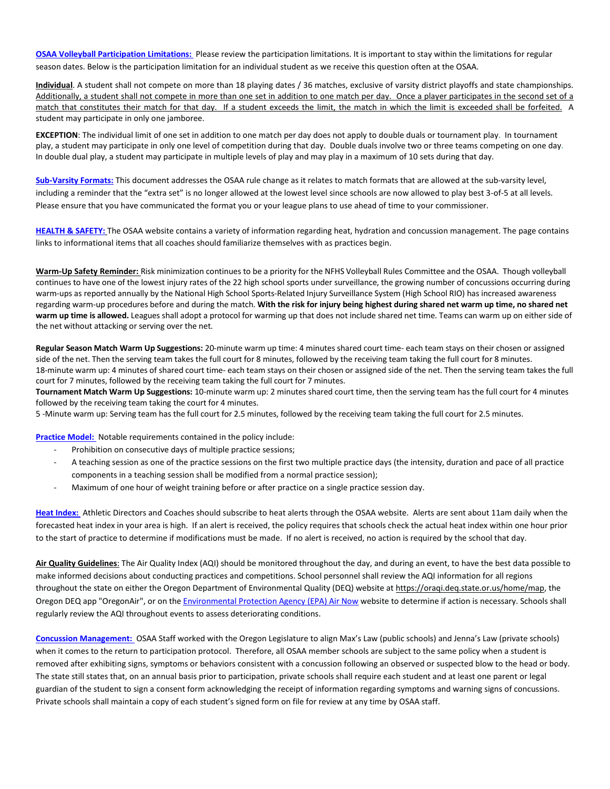**[OSAA Volleyball Participation Limitations:](https://www.osaa.org/docs/vbl/VolleyballParticipationLimitsFINAL.pdf)** Please review the participation limitations. It is important to stay within the limitations for regular season dates. Below is the participation limitation for an individual student as we receive this question often at the OSAA.

**Individual**. A student shall not compete on more than 18 playing dates / 36 matches, exclusive of varsity district playoffs and state championships. Additionally, a student shall not compete in more than one set in addition to one match per day. Once a player participates in the second set of a match that constitutes their match for that day. If a student exceeds the limit, the match in which the limit is exceeded shall be forfeited. A student may participate in only one jamboree.

**EXCEPTION**: The individual limit of one set in addition to one match per day does not apply to double duals or tournament play. In tournament play, a student may participate in only one level of competition during that day. Double duals involve two or three teams competing on one day. In double dual play, a student may participate in multiple levels of play and may play in a maximum of 10 sets during that day.

**[Sub-Varsity Formats:](https://www.osaa.org/docs/vbl/Subvarsity%20VB%202021.pdf)** This document addresses the OSAA rule change as it relates to match formats that are allowed at the sub-varsity level, including a reminder that the "extra set" is no longer allowed at the lowest level since schools are now allowed to play best 3-of-5 at all levels. Please ensure that you have communicated the format you or your league plans to use ahead of time to your commissioner.

**[HEALTH & SAFETY:](https://www.osaa.org/health-safety/air-quality)** The OSAA website contains a variety of information regarding heat, hydration and concussion management. The page contains links to informational items that all coaches should familiarize themselves with as practices begin.

**Warm-Up Safety Reminder:** Risk minimization continues to be a priority for the NFHS Volleyball Rules Committee and the OSAA. Though volleyball continues to have one of the lowest injury rates of the 22 high school sports under surveillance, the growing number of concussions occurring during warm-ups as reported annually by the National High School Sports-Related Injury Surveillance System (High School RIO) has increased awareness regarding warm-up procedures before and during the match. **With the risk for injury being highest during shared net warm up time, no shared net warm up time is allowed.** Leagues shall adopt a protocol for warming up that does not include shared net time. Teams can warm up on either side of the net without attacking or serving over the net.

**Regular Season Match Warm Up Suggestions:** 20-minute warm up time: 4 minutes shared court time- each team stays on their chosen or assigned side of the net. Then the serving team takes the full court for 8 minutes, followed by the receiving team taking the full court for 8 minutes. 18-minute warm up: 4 minutes of shared court time- each team stays on their chosen or assigned side of the net. Then the serving team takes the full court for 7 minutes, followed by the receiving team taking the full court for 7 minutes.

**Tournament Match Warm Up Suggestions:** 10-minute warm up: 2 minutes shared court time, then the serving team has the full court for 4 minutes followed by the receiving team taking the court for 4 minutes.

5 -Minute warm up: Serving team has the full court for 2.5 minutes, followed by the receiving team taking the full court for 2.5 minutes.

**Practice Model:** Notable requirements contained in the policy include:

- Prohibition on consecutive days of multiple practice sessions;
- A teaching session as one of the practice sessions on the first two multiple practice days (the intensity, duration and pace of all practice components in a teaching session shall be modified from a normal practice session);
- Maximum of one hour of weight training before or after practice on a single practice session day.

**[Heat Index:](https://www.osaa.org/heat-index)** Athletic Directors and Coaches should subscribe to heat alerts through the OSAA website. Alerts are sent about 11am daily when the forecasted heat index in your area is high. If an alert is received, the policy requires that schools check the actual heat index within one hour prior to the start of practice to determine if modifications must be made. If no alert is received, no action is required by the school that day.

**Air [Quality Guidelines](https://www.osaa.org/health-safety/air-quality)**: The Air Quality Index (AQI) should be monitored throughout the day, and during an event, to have the best data possible to make informed decisions about conducting practices and competitions. School personnel shall review the AQI information for all regions throughout the state on either the Oregon Department of Environmental Quality (DEQ) website at [https://oraqi.deq.state.or.us/home/map,](https://oraqi.deq.state.or.us/home/map) the Oregon DEQ app "OregonAir", or on the [Environmental Protection Agency \(EPA\) Air Now](https://airnow.gov/index.cfm?action=airnow.local_state&stateid=38) website to determine if action is necessary. Schools shall regularly review the AQI throughout events to assess deteriorating conditions.

**[Concussion Management:](https://www.osaa.org/docs/handbooks/ConcussionManagementBP.pdf)** OSAA Staff worked with the Oregon Legislature to align Max's Law (public schools) and Jenna's Law (private schools) when it comes to the return to participation protocol. Therefore, all OSAA member schools are subject to the same policy when a student is removed after exhibiting signs, symptoms or behaviors consistent with a concussion following an observed or suspected blow to the head or body. The state still states that, on an annual basis prior to participation, private schools shall require each student and at least one parent or legal guardian of the student to sign a consent form acknowledging the receipt of information regarding symptoms and warning signs of concussions. Private schools shall maintain a copy of each student's signed form on file for review at any time by OSAA staff.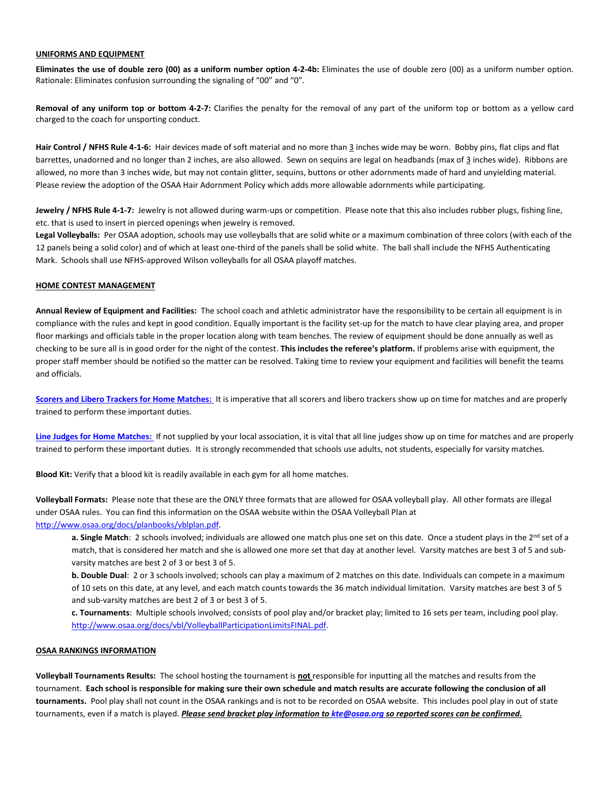### **UNIFORMS AND EQUIPMENT**

**Eliminates the use of double zero (00) as a uniform number option 4-2-4b:** Eliminates the use of double zero (00) as a uniform number option. Rationale: Eliminates confusion surrounding the signaling of "00" and "0".

**Removal of any uniform top or bottom 4-2-7:** Clarifies the penalty for the removal of any part of the uniform top or bottom as a yellow card charged to the coach for unsporting conduct.

**Hair Control / NFHS Rule 4-1-6:** Hair devices made of soft material and no more than 3 inches wide may be worn. Bobby pins, flat clips and flat barrettes, unadorned and no longer than 2 inches, are also allowed. Sewn on sequins are legal on headbands (max of 3 inches wide). Ribbons are allowed, no more than 3 inches wide, but may not contain glitter, sequins, buttons or other adornments made of hard and unyielding material. Please review the adoption of the OSAA Hair Adornment Policy which adds more allowable adornments while participating.

**Jewelry / NFHS Rule 4-1-7:** Jewelry is not allowed during warm-ups or competition. Please note that this also includes rubber plugs, fishing line, etc. that is used to insert in pierced openings when jewelry is removed.

**Legal Volleyballs:** Per OSAA adoption, schools may use volleyballs that are solid white or a maximum combination of three colors (with each of the 12 panels being a solid color) and of which at least one-third of the panels shall be solid white. The ball shall include the NFHS Authenticating Mark. Schools shall use NFHS-approved Wilson volleyballs for all OSAA playoff matches.

# **HOME CONTEST MANAGEMENT**

**Annual Review of Equipment and Facilities:** The school coach and athletic administrator have the responsibility to be certain all equipment is in compliance with the rules and kept in good condition. Equally important is the facility set-up for the match to have clear playing area, and proper floor markings and officials table in the proper location along with team benches. The review of equipment should be done annually as well as checking to be sure all is in good order for the night of the contest. **This includes the referee's platform.** If problems arise with equipment, the proper staff member should be notified so the matter can be resolved. Taking time to review your equipment and facilities will benefit the teams and officials.

**[Scorers and Libero Trackers for Home Matches:](http://www.osaa.org/activities/vbl/information)** It is imperative that all scorers and libero trackers show up on time for matches and are properly trained to perform these important duties.

**[Line Judges for Home Matches:](https://www.osaa.org/docs/vbl/linejudgesignals.pdf)** If not supplied by your local association, it is vital that all line judges show up on time for matches and are properly trained to perform these important duties. It is strongly recommended that schools use adults, not students, especially for varsity matches.

**Blood Kit:** Verify that a blood kit is readily available in each gym for all home matches.

**Volleyball Formats:** Please note that these are the ONLY three formats that are allowed for OSAA volleyball play. All other formats are illegal under OSAA rules. You can find this information on the OSAA website within the OSAA Volleyball Plan at [http://www.osaa.org/docs/planbooks/vblplan.pdf.](http://www.osaa.org/docs/planbooks/vblplan.pdf)

a. Single Match: 2 schools involved; individuals are allowed one match plus one set on this date. Once a student plays in the 2<sup>nd</sup> set of a match, that is considered her match and she is allowed one more set that day at another level. Varsity matches are best 3 of 5 and subvarsity matches are best 2 of 3 or best 3 of 5.

**b. Double Dual**: 2 or 3 schools involved; schools can play a maximum of 2 matches on this date. Individuals can compete in a maximum of 10 sets on this date, at any level, and each match counts towards the 36 match individual limitation. Varsity matches are best 3 of 5 and sub-varsity matches are best 2 of 3 or best 3 of 5.

**c. Tournaments**: Multiple schools involved; consists of pool play and/or bracket play; limited to 16 sets per team, including pool play. [http://www.osaa.org/docs/vbl/VolleyballParticipationLimitsFINAL.pdf.](http://www.osaa.org/docs/vbl/VolleyballParticipationLimitsFINAL.pdf)

#### **OSAA RANKINGS INFORMATION**

**Volleyball Tournaments Results:** The school hosting the tournament is **not** responsible for inputting all the matches and results from the tournament. **Each school is responsible for making sure their own schedule and match results are accurate following the conclusion of all tournaments.** Pool play shall not count in the OSAA rankings and is not to be recorded on OSAA website. This includes pool play in out of state tournaments, even if a match is played. *Please send bracket play information t[o kte@osaa.org](mailto:kte@osaa.org) so reported scores can be confirmed.*